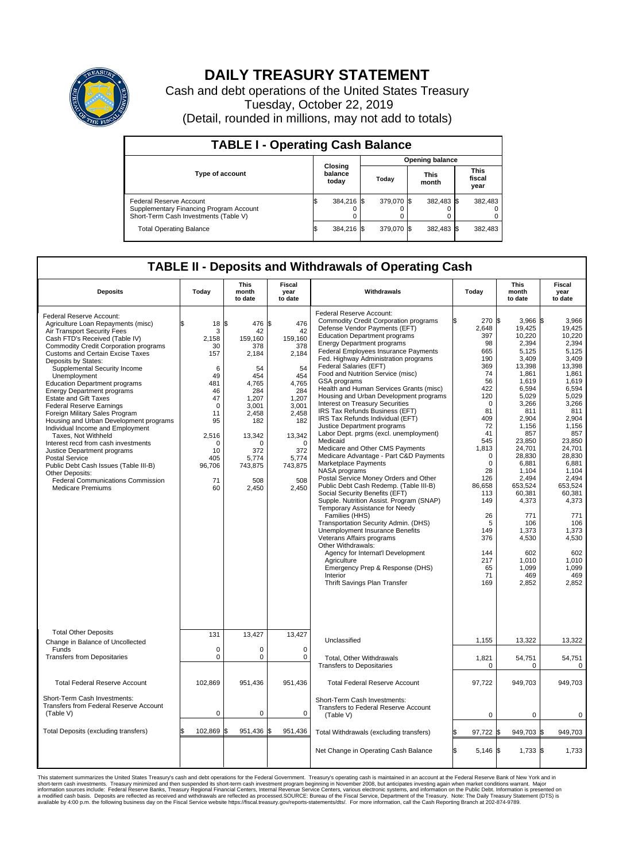

## **DAILY TREASURY STATEMENT**

Cash and debt operations of the United States Treasury Tuesday, October 22, 2019 (Detail, rounded in millions, may not add to totals)

| <b>TABLE I - Operating Cash Balance</b>                                                                     |     |                             |                        |            |  |                      |  |                               |  |  |  |
|-------------------------------------------------------------------------------------------------------------|-----|-----------------------------|------------------------|------------|--|----------------------|--|-------------------------------|--|--|--|
|                                                                                                             |     |                             | <b>Opening balance</b> |            |  |                      |  |                               |  |  |  |
| Type of account                                                                                             |     | Closing<br>balance<br>today |                        | Today      |  | <b>This</b><br>month |  | <b>This</b><br>fiscal<br>year |  |  |  |
| Federal Reserve Account<br>Supplementary Financing Program Account<br>Short-Term Cash Investments (Table V) |     | 384,216 \$                  |                        | 379.070 \$ |  | 382,483 \$           |  | 382,483                       |  |  |  |
| <b>Total Operating Balance</b>                                                                              | I\$ | 384,216 \$                  |                        | 379,070 \$ |  | 382,483 \$           |  | 382,483                       |  |  |  |

## **TABLE II - Deposits and Withdrawals of Operating Cash**

| <b>Deposits</b>                                                                                                                                                                                                                                                                                                                                                                                                                                                                                                                                                                                                                                                                                                                                                                                                      | Today                                                                                                                                                      | <b>This</b><br>month<br>to date                                                                                                                                  | <b>Fiscal</b><br>year<br>to date                                                                                                                                        | Withdrawals                                                                                                                                                                                                                                                                                                                                                                                                                                                                                                                                                                                                                                                                                                                                                                                                                                                                                                                                                                                                                                                                                                                                                                                                                                                        | Today                                                                                                                                                                                                                                                                  | This<br>month<br>to date                                                                                                                                                                                                                                                                                          | <b>Fiscal</b><br>year<br>to date                                                                                                                                                                                                                                                                            |  |
|----------------------------------------------------------------------------------------------------------------------------------------------------------------------------------------------------------------------------------------------------------------------------------------------------------------------------------------------------------------------------------------------------------------------------------------------------------------------------------------------------------------------------------------------------------------------------------------------------------------------------------------------------------------------------------------------------------------------------------------------------------------------------------------------------------------------|------------------------------------------------------------------------------------------------------------------------------------------------------------|------------------------------------------------------------------------------------------------------------------------------------------------------------------|-------------------------------------------------------------------------------------------------------------------------------------------------------------------------|--------------------------------------------------------------------------------------------------------------------------------------------------------------------------------------------------------------------------------------------------------------------------------------------------------------------------------------------------------------------------------------------------------------------------------------------------------------------------------------------------------------------------------------------------------------------------------------------------------------------------------------------------------------------------------------------------------------------------------------------------------------------------------------------------------------------------------------------------------------------------------------------------------------------------------------------------------------------------------------------------------------------------------------------------------------------------------------------------------------------------------------------------------------------------------------------------------------------------------------------------------------------|------------------------------------------------------------------------------------------------------------------------------------------------------------------------------------------------------------------------------------------------------------------------|-------------------------------------------------------------------------------------------------------------------------------------------------------------------------------------------------------------------------------------------------------------------------------------------------------------------|-------------------------------------------------------------------------------------------------------------------------------------------------------------------------------------------------------------------------------------------------------------------------------------------------------------|--|
| Federal Reserve Account:<br>Agriculture Loan Repayments (misc)<br>Air Transport Security Fees<br>Cash FTD's Received (Table IV)<br><b>Commodity Credit Corporation programs</b><br>Customs and Certain Excise Taxes<br>Deposits by States:<br>Supplemental Security Income<br>Unemployment<br><b>Education Department programs</b><br><b>Energy Department programs</b><br><b>Estate and Gift Taxes</b><br><b>Federal Reserve Earnings</b><br>Foreign Military Sales Program<br>Housing and Urban Development programs<br>Individual Income and Employment<br>Taxes. Not Withheld<br>Interest recd from cash investments<br>Justice Department programs<br><b>Postal Service</b><br>Public Debt Cash Issues (Table III-B)<br>Other Deposits:<br><b>Federal Communications Commission</b><br><b>Medicare Premiums</b> | \$<br>$18 \,$ $\uparrow$<br>3<br>2.158<br>30<br>157<br>6<br>49<br>481<br>46<br>47<br>$\Omega$<br>11<br>95<br>2,516<br>0<br>10<br>405<br>96,706<br>71<br>60 | 476 \$<br>42<br>159.160<br>378<br>2,184<br>54<br>454<br>4,765<br>284<br>1,207<br>3,001<br>2,458<br>182<br>13,342<br>O<br>372<br>5.774<br>743,875<br>508<br>2,450 | 476<br>42<br>159.160<br>378<br>2,184<br>54<br>454<br>4,765<br>284<br>1,207<br>3,001<br>2,458<br>182<br>13,342<br>$\mathbf 0$<br>372<br>5,774<br>743,875<br>508<br>2,450 | Federal Reserve Account:<br><b>Commodity Credit Corporation programs</b><br>Defense Vendor Payments (EFT)<br><b>Education Department programs</b><br><b>Energy Department programs</b><br><b>Federal Employees Insurance Payments</b><br>Fed. Highway Administration programs<br>Federal Salaries (EFT)<br>Food and Nutrition Service (misc)<br><b>GSA</b> programs<br>Health and Human Services Grants (misc)<br>Housing and Urban Development programs<br>Interest on Treasury Securities<br>IRS Tax Refunds Business (EFT)<br>IRS Tax Refunds Individual (EFT)<br>Justice Department programs<br>Labor Dept. prgms (excl. unemployment)<br>Medicaid<br>Medicare and Other CMS Payments<br>Medicare Advantage - Part C&D Payments<br>Marketplace Payments<br>NASA programs<br>Postal Service Money Orders and Other<br>Public Debt Cash Redemp. (Table III-B)<br>Social Security Benefits (EFT)<br>Supple. Nutrition Assist. Program (SNAP)<br>Temporary Assistance for Needy<br>Families (HHS)<br>Transportation Security Admin. (DHS)<br>Unemployment Insurance Benefits<br>Veterans Affairs programs<br>Other Withdrawals:<br>Agency for Internat'l Development<br>Agriculture<br>Emergency Prep & Response (DHS)<br>Interior<br>Thrift Savings Plan Transfer | 270 \$<br>ß.<br>2,648<br>397<br>98<br>665<br>190<br>369<br>74<br>56<br>422<br>120<br>$\mathbf 0$<br>81<br>409<br>72<br>41<br>545<br>1,813<br>$\mathbf 0$<br>$\mathbf 0$<br>28<br>126<br>86,658<br>113<br>149<br>26<br>5<br>149<br>376<br>144<br>217<br>65<br>71<br>169 | $3.966$ \\$<br>19,425<br>10,220<br>2.394<br>5,125<br>3,409<br>13,398<br>1,861<br>1,619<br>6,594<br>5,029<br>3,266<br>811<br>2,904<br>1,156<br>857<br>23,850<br>24,701<br>28,830<br>6,881<br>1,104<br>2,494<br>653,524<br>60,381<br>4,373<br>771<br>106<br>1,373<br>4,530<br>602<br>1,010<br>1,099<br>469<br>2,852 | 3.966<br>19,425<br>10,220<br>2.394<br>5,125<br>3,409<br>13.398<br>1,861<br>1.619<br>6,594<br>5,029<br>3,266<br>811<br>2,904<br>1,156<br>857<br>23,850<br>24,701<br>28,830<br>6.881<br>1,104<br>2,494<br>653,524<br>60.381<br>4,373<br>771<br>106<br>1,373<br>4,530<br>602<br>1,010<br>1,099<br>469<br>2,852 |  |
| <b>Total Other Deposits</b><br>Change in Balance of Uncollected<br>Funds                                                                                                                                                                                                                                                                                                                                                                                                                                                                                                                                                                                                                                                                                                                                             | 131<br>$\mathbf 0$                                                                                                                                         | 13,427<br>0                                                                                                                                                      | 13,427<br>0                                                                                                                                                             | Unclassified                                                                                                                                                                                                                                                                                                                                                                                                                                                                                                                                                                                                                                                                                                                                                                                                                                                                                                                                                                                                                                                                                                                                                                                                                                                       | 1,155                                                                                                                                                                                                                                                                  | 13,322                                                                                                                                                                                                                                                                                                            | 13,322                                                                                                                                                                                                                                                                                                      |  |
| <b>Transfers from Depositaries</b>                                                                                                                                                                                                                                                                                                                                                                                                                                                                                                                                                                                                                                                                                                                                                                                   | $\pmb{0}$                                                                                                                                                  | 0                                                                                                                                                                | $\mathbf 0$                                                                                                                                                             | Total, Other Withdrawals<br><b>Transfers to Depositaries</b>                                                                                                                                                                                                                                                                                                                                                                                                                                                                                                                                                                                                                                                                                                                                                                                                                                                                                                                                                                                                                                                                                                                                                                                                       | 1,821<br>0                                                                                                                                                                                                                                                             | 54,751<br>0                                                                                                                                                                                                                                                                                                       | 54,751<br>0                                                                                                                                                                                                                                                                                                 |  |
| <b>Total Federal Reserve Account</b>                                                                                                                                                                                                                                                                                                                                                                                                                                                                                                                                                                                                                                                                                                                                                                                 | 102,869                                                                                                                                                    | 951,436                                                                                                                                                          | 951,436                                                                                                                                                                 | <b>Total Federal Reserve Account</b>                                                                                                                                                                                                                                                                                                                                                                                                                                                                                                                                                                                                                                                                                                                                                                                                                                                                                                                                                                                                                                                                                                                                                                                                                               | 97,722                                                                                                                                                                                                                                                                 | 949,703                                                                                                                                                                                                                                                                                                           | 949,703                                                                                                                                                                                                                                                                                                     |  |
| Short-Term Cash Investments:<br>Transfers from Federal Reserve Account<br>(Table V)                                                                                                                                                                                                                                                                                                                                                                                                                                                                                                                                                                                                                                                                                                                                  | $\mathbf 0$                                                                                                                                                | 0                                                                                                                                                                | $\mathbf 0$                                                                                                                                                             | Short-Term Cash Investments:<br>Transfers to Federal Reserve Account<br>(Table V)                                                                                                                                                                                                                                                                                                                                                                                                                                                                                                                                                                                                                                                                                                                                                                                                                                                                                                                                                                                                                                                                                                                                                                                  | $\mathbf 0$                                                                                                                                                                                                                                                            | $\mathbf 0$                                                                                                                                                                                                                                                                                                       | 0                                                                                                                                                                                                                                                                                                           |  |
| Total Deposits (excluding transfers)                                                                                                                                                                                                                                                                                                                                                                                                                                                                                                                                                                                                                                                                                                                                                                                 | 102,869<br>\$                                                                                                                                              | 951,436<br>\$                                                                                                                                                    | \$<br>951,436                                                                                                                                                           | Total Withdrawals (excluding transfers)                                                                                                                                                                                                                                                                                                                                                                                                                                                                                                                                                                                                                                                                                                                                                                                                                                                                                                                                                                                                                                                                                                                                                                                                                            | 97,722 \$                                                                                                                                                                                                                                                              | 949,703 \$                                                                                                                                                                                                                                                                                                        | 949,703                                                                                                                                                                                                                                                                                                     |  |
|                                                                                                                                                                                                                                                                                                                                                                                                                                                                                                                                                                                                                                                                                                                                                                                                                      |                                                                                                                                                            |                                                                                                                                                                  |                                                                                                                                                                         | Net Change in Operating Cash Balance                                                                                                                                                                                                                                                                                                                                                                                                                                                                                                                                                                                                                                                                                                                                                                                                                                                                                                                                                                                                                                                                                                                                                                                                                               | Ŝ.<br>$5.146$ \$                                                                                                                                                                                                                                                       | 1,733 \$                                                                                                                                                                                                                                                                                                          | 1,733                                                                                                                                                                                                                                                                                                       |  |

This statement summarizes the United States Treasury's cash and debt operations for the Federal Government. Treasury soperating in November 2008, but anticiarded in a cocount at the Federal metaformation sources investment